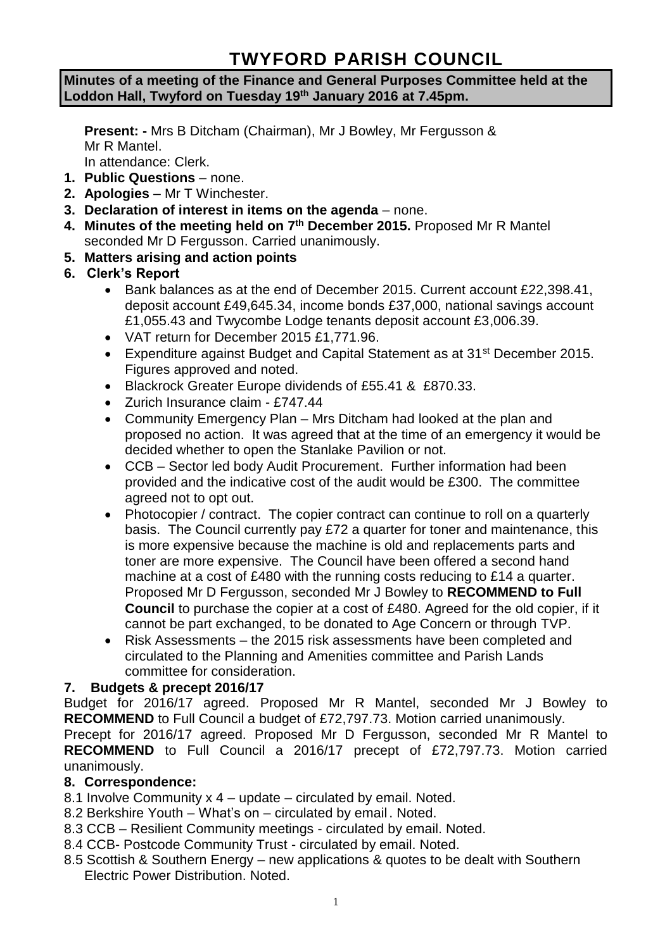# **TWYFORD PARISH COUNCIL**

#### **Minutes of a meeting of the Finance and General Purposes Committee held at the Loddon Hall, Twyford on Tuesday 19th January 2016 at 7.45pm.**

**Present: -** Mrs B Ditcham (Chairman), Mr J Bowley, Mr Fergusson & Mr R Mantel. In attendance: Clerk.

**1. Public Questions** – none.

- **2. Apologies** Mr T Winchester.
- **3. Declaration of interest in items on the agenda**  none.
- **4. Minutes of the meeting held on 7 th December 2015.** Proposed Mr R Mantel seconded Mr D Fergusson. Carried unanimously.
- **5. Matters arising and action points**
- **6. Clerk's Report**
	- Bank balances as at the end of December 2015. Current account £22,398.41, deposit account £49,645.34, income bonds £37,000, national savings account £1,055.43 and Twycombe Lodge tenants deposit account £3,006.39.
	- VAT return for December 2015 £1,771.96.
	- Expenditure against Budget and Capital Statement as at 31<sup>st</sup> December 2015. Figures approved and noted.
	- Blackrock Greater Europe dividends of £55.41 & £870.33.
	- Zurich Insurance claim £747.44
	- Community Emergency Plan Mrs Ditcham had looked at the plan and proposed no action. It was agreed that at the time of an emergency it would be decided whether to open the Stanlake Pavilion or not.
	- CCB Sector led body Audit Procurement. Further information had been provided and the indicative cost of the audit would be £300. The committee agreed not to opt out.
	- Photocopier / contract. The copier contract can continue to roll on a quarterly basis. The Council currently pay £72 a quarter for toner and maintenance, this is more expensive because the machine is old and replacements parts and toner are more expensive. The Council have been offered a second hand machine at a cost of £480 with the running costs reducing to £14 a quarter. Proposed Mr D Fergusson, seconded Mr J Bowley to **RECOMMEND to Full Council** to purchase the copier at a cost of £480. Agreed for the old copier, if it cannot be part exchanged, to be donated to Age Concern or through TVP.
	- Risk Assessments the 2015 risk assessments have been completed and circulated to the Planning and Amenities committee and Parish Lands committee for consideration.

# **7. Budgets & precept 2016/17**

Budget for 2016/17 agreed. Proposed Mr R Mantel, seconded Mr J Bowley to **RECOMMEND** to Full Council a budget of £72,797.73. Motion carried unanimously. Precept for 2016/17 agreed. Proposed Mr D Fergusson, seconded Mr R Mantel to **RECOMMEND** to Full Council a 2016/17 precept of £72,797.73. Motion carried unanimously.

# **8. Correspondence:**

- 8.1 Involve Community x 4 update circulated by email. Noted.
- 8.2 Berkshire Youth What's on circulated by email . Noted.
- 8.3 CCB Resilient Community meetings circulated by email. Noted.
- 8.4 CCB- Postcode Community Trust circulated by email. Noted.
- 8.5 Scottish & Southern Energy new applications & quotes to be dealt with Southern Electric Power Distribution. Noted.